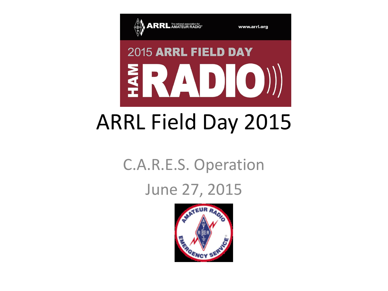

www.arrl.org

# 2015 ARRL FIELD DAY ERADIO))

### ARRL Field Day 2015

#### C.A.R.E.S. Operation

#### June 27, 2015

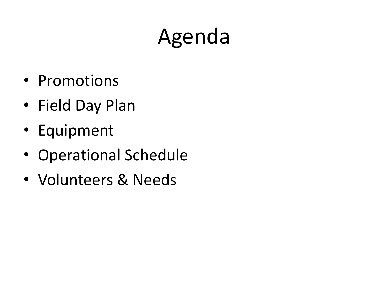## Agenda

- Promotions
- Field Day Plan
- Equipment
- Operational Schedule
- Volunteers & Needs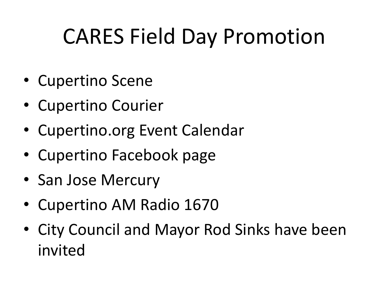### CARES Field Day Promotion

- Cupertino Scene
- Cupertino Courier
- Cupertino.org Event Calendar
- Cupertino Facebook page
- San Jose Mercury
- Cupertino AM Radio 1670
- City Council and Mayor Rod Sinks have been invited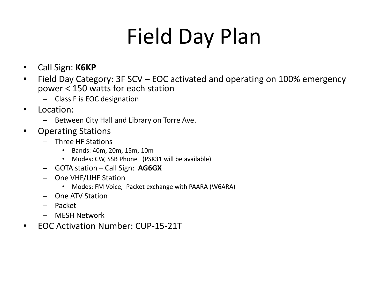### Field Day Plan

- Call Sign: **K6KP**
- Field Day Category: 3F SCV EOC activated and operating on 100% emergency power < 150 watts for each station
	- Class F is EOC designation
- Location:
	- Between City Hall and Library on Torre Ave.
- Operating Stations
	- Three HF Stations
		- Bands: 40m, 20m, 15m, 10m
		- Modes: CW, SSB Phone (PSK31 will be available)
	- GOTA station Call Sign: **AG6GX**
	- One VHF/UHF Station
		- Modes: FM Voice, Packet exchange with PAARA (W6ARA)
	- One ATV Station
	- Packet
	- MESH Network
- EOC Activation Number: CUP-15-21T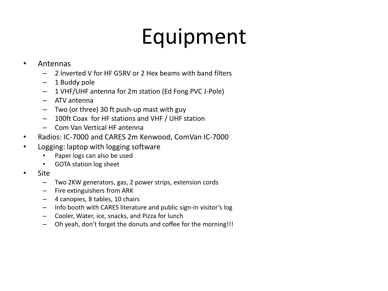### Equipment

#### • Antennas

- 2 Inverted V for HF G5RV or 2 Hex beams with band filters
- 1 Buddy pole
- 1 VHF/UHF antenna for 2m station (Ed Fong PVC J-Pole)
- ATV antenna
- Two (or three) 30 ft push-up mast with guy
- 100ft Coax for HF stations and VHF / UHF station
- Com Van Vertical HF antenna
- Radios: IC-7000 and CARES 2m Kenwood, ComVan IC-7000
- Logging: laptop with logging software
	- Paper logs can also be used
	- GOTA station log sheet
- Site
	- Two 2KW generators, gas, 2 power strips, extension cords
	- Fire extinguishers from ARK
	- 4 canopies, 8 tables, 10 chairs
	- Info booth with CARES literature and public sign-in visitor's log
	- Cooler, Water, ice, snacks, and Pizza for lunch
	- Oh yeah, don't forget the donuts and coffee for the morning!!!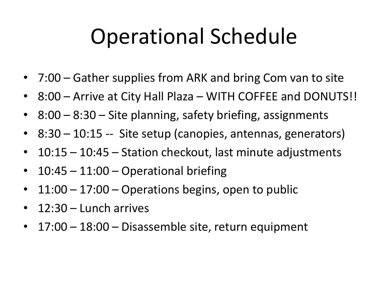#### Operational Schedule

- 7:00 Gather supplies from ARK and bring Com van to site
- 8:00 Arrive at City Hall Plaza WITH COFFEE and DONUTS!!
- 8:00 8:30 Site planning, safety briefing, assignments
- 8:30 10:15 -- Site setup (canopies, antennas, generators)
- 10:15 10:45 Station checkout, last minute adjustments
- 10:45 11:00 Operational briefing
- $11:00 17:00 -$  Operations begins, open to public
- 12:30 Lunch arrives
- 17:00 18:00 Disassemble site, return equipment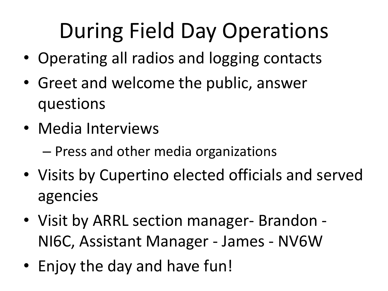## During Field Day Operations

- Operating all radios and logging contacts
- Greet and welcome the public, answer questions
- Media Interviews
	- Press and other media organizations
- Visits by Cupertino elected officials and served agencies
- Visit by ARRL section manager- Brandon NI6C, Assistant Manager - James - NV6W
- Enjoy the day and have fun!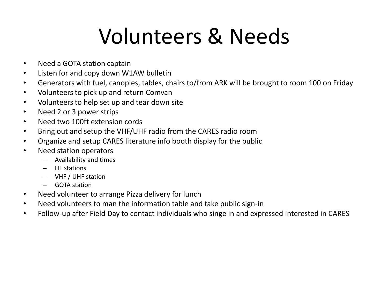#### Volunteers & Needs

- Need a GOTA station captain
- Listen for and copy down W1AW bulletin
- Generators with fuel, canopies, tables, chairs to/from ARK will be brought to room 100 on Friday
- Volunteers to pick up and return Comvan
- Volunteers to help set up and tear down site
- Need 2 or 3 power strips
- Need two 100ft extension cords
- Bring out and setup the VHF/UHF radio from the CARES radio room
- Organize and setup CARES literature info booth display for the public
- Need station operators
	- Availability and times
	- HF stations
	- VHF / UHF station
	- GOTA station
- Need volunteer to arrange Pizza delivery for lunch
- Need volunteers to man the information table and take public sign-in
- Follow-up after Field Day to contact individuals who singe in and expressed interested in CARES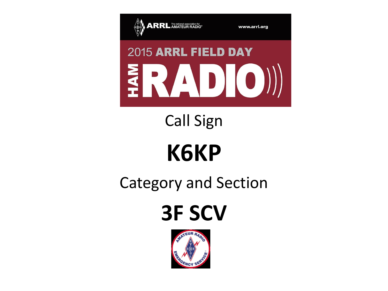

www.arrl.org

# 2015 ARRL FIELD DAY ERADIO))

#### Call Sign

## **K6KP**

#### Category and Section

**3F SCV** 

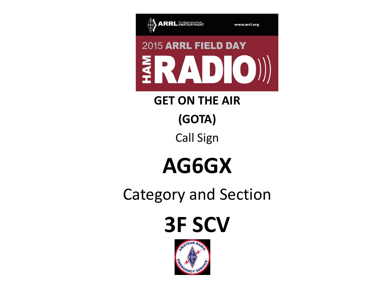

**GET ON THE AIR (GOTA)** Call Sign

#### **AG6GX**

Category and Section